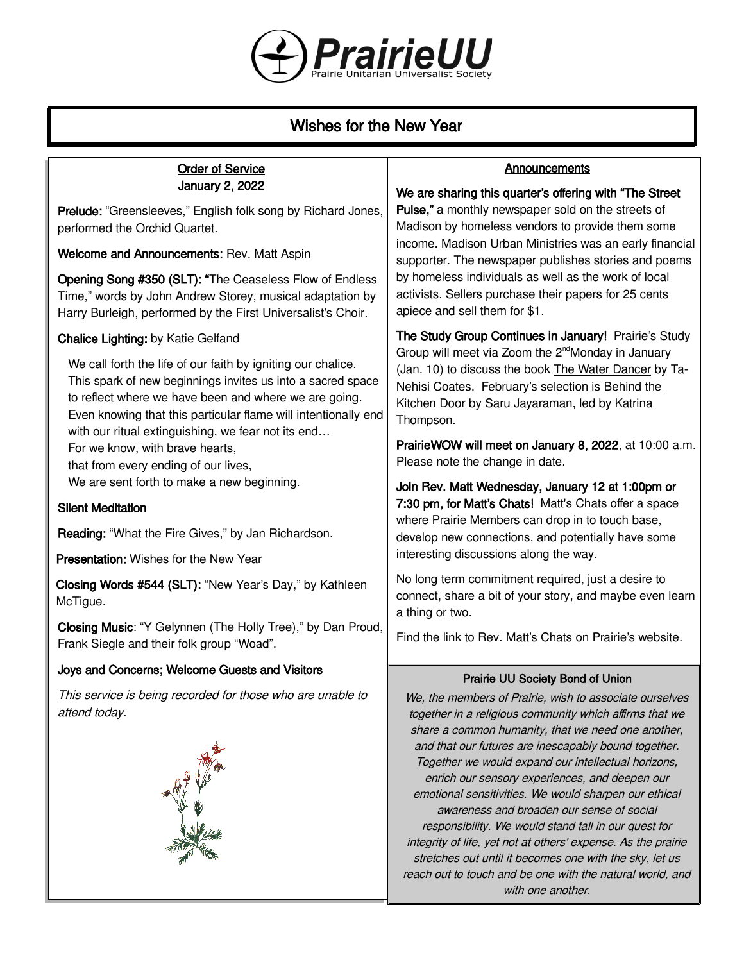

# Wishes for the New Year

| <b>Order of Service</b>                                                                                                                                                                                                                                                                                                                                | <b>Announcements</b>                                                                                                                                                                                                                                                                                                                                                                                                                                                                                                                                                                                                                |
|--------------------------------------------------------------------------------------------------------------------------------------------------------------------------------------------------------------------------------------------------------------------------------------------------------------------------------------------------------|-------------------------------------------------------------------------------------------------------------------------------------------------------------------------------------------------------------------------------------------------------------------------------------------------------------------------------------------------------------------------------------------------------------------------------------------------------------------------------------------------------------------------------------------------------------------------------------------------------------------------------------|
| January 2, 2022<br>Prelude: "Greensleeves," English folk song by Richard Jones,<br>performed the Orchid Quartet.<br>Welcome and Announcements: Rev. Matt Aspin<br>Opening Song #350 (SLT): "The Ceaseless Flow of Endless<br>Time," words by John Andrew Storey, musical adaptation by<br>Harry Burleigh, performed by the First Universalist's Choir. | We are sharing this quarter's offering with "The Street"<br>Pulse," a monthly newspaper sold on the streets of<br>Madison by homeless vendors to provide them some<br>income. Madison Urban Ministries was an early financial<br>supporter. The newspaper publishes stories and poems<br>by homeless individuals as well as the work of local<br>activists. Sellers purchase their papers for 25 cents<br>apiece and sell them for \$1.                                                                                                                                                                                             |
| <b>Chalice Lighting: by Katie Gelfand</b>                                                                                                                                                                                                                                                                                                              | The Study Group Continues in January! Prairie's Study                                                                                                                                                                                                                                                                                                                                                                                                                                                                                                                                                                               |
| We call forth the life of our faith by igniting our chalice.<br>This spark of new beginnings invites us into a sacred space<br>to reflect where we have been and where we are going.<br>Even knowing that this particular flame will intentionally end<br>with our ritual extinguishing, we fear not its end                                           | Group will meet via Zoom the 2 <sup>nd</sup> Monday in January<br>(Jan. 10) to discuss the book The Water Dancer by Ta-<br>Nehisi Coates. February's selection is Behind the<br>Kitchen Door by Saru Jayaraman, led by Katrina<br>Thompson.                                                                                                                                                                                                                                                                                                                                                                                         |
| For we know, with brave hearts,<br>that from every ending of our lives,                                                                                                                                                                                                                                                                                | PrairieWOW will meet on January 8, 2022, at 10:00 a.m.<br>Please note the change in date.                                                                                                                                                                                                                                                                                                                                                                                                                                                                                                                                           |
| We are sent forth to make a new beginning.                                                                                                                                                                                                                                                                                                             | Join Rev. Matt Wednesday, January 12 at 1:00pm or                                                                                                                                                                                                                                                                                                                                                                                                                                                                                                                                                                                   |
| <b>Silent Meditation</b>                                                                                                                                                                                                                                                                                                                               | 7:30 pm, for Matt's Chats! Matt's Chats offer a space<br>where Prairie Members can drop in to touch base,                                                                                                                                                                                                                                                                                                                                                                                                                                                                                                                           |
| Reading: "What the Fire Gives," by Jan Richardson.                                                                                                                                                                                                                                                                                                     | develop new connections, and potentially have some<br>interesting discussions along the way.                                                                                                                                                                                                                                                                                                                                                                                                                                                                                                                                        |
| <b>Presentation:</b> Wishes for the New Year                                                                                                                                                                                                                                                                                                           | No long term commitment required, just a desire to                                                                                                                                                                                                                                                                                                                                                                                                                                                                                                                                                                                  |
| Closing Words #544 (SLT): "New Year's Day," by Kathleen<br>McTigue.                                                                                                                                                                                                                                                                                    | connect, share a bit of your story, and maybe even learn<br>a thing or two.                                                                                                                                                                                                                                                                                                                                                                                                                                                                                                                                                         |
| Closing Music: "Y Gelynnen (The Holly Tree)," by Dan Proud,<br>Frank Siegle and their folk group "Woad".                                                                                                                                                                                                                                               | Find the link to Rev. Matt's Chats on Prairie's website.                                                                                                                                                                                                                                                                                                                                                                                                                                                                                                                                                                            |
| Joys and Concerns; Welcome Guests and Visitors                                                                                                                                                                                                                                                                                                         | Prairie UU Society Bond of Union                                                                                                                                                                                                                                                                                                                                                                                                                                                                                                                                                                                                    |
| This service is being recorded for those who are unable to<br>attend today.                                                                                                                                                                                                                                                                            | We, the members of Prairie, wish to associate ourselves<br>together in a religious community which affirms that we<br>share a common humanity, that we need one another,<br>and that our futures are inescapably bound together.<br>Together we would expand our intellectual horizons,<br>enrich our sensory experiences, and deepen our<br>emotional sensitivities. We would sharpen our ethical<br>awareness and broaden our sense of social<br>responsibility. We would stand tall in our quest for<br>integrity of life, yet not at others' expense. As the prairie<br>stretches out until it becomes one with the sky, let us |

reach out to touch and be one with the natural world, and with one another.